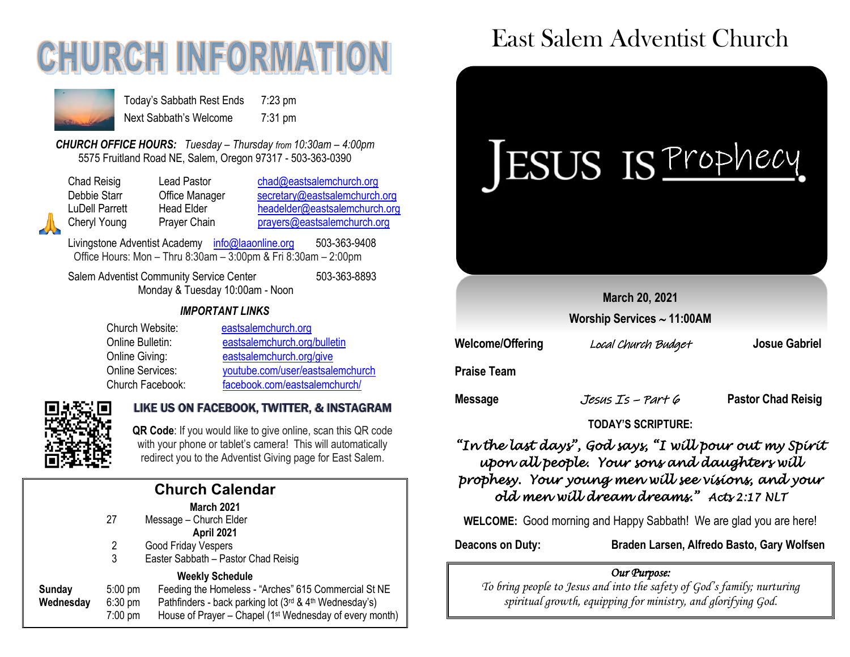# **CHURCH INFORMATI**



Today's Sabbath Rest Ends 7:23 pm Next Sabbath's Welcome 7:31 pm

*CHURCH OFFICE HOURS: Tuesday – Thursday from 10:30am – 4:00pm* 5575 Fruitland Road NE, Salem, Oregon 97317 - 503-363-0390

| Chad Reisig    | Lead Pastor    | chad@eastsalemchurch.org      |  |  |
|----------------|----------------|-------------------------------|--|--|
| Debbie Starr   | Office Manager | secretary@eastsalemchurch.org |  |  |
| LuDell Parrett | Head Elder     | headelder@eastsalemchurch.org |  |  |
| Cheryl Young   | Prayer Chain   | prayers@eastsalemchurch.org   |  |  |

Livingstone Adventist Academy [info@laaonline.org](mailto:info@laaonline.org) 503-363-9408 Office Hours: Mon – Thru 8:30am – 3:00pm & Fri 8:30am – 2:00pm

Salem Adventist Community Service Center 503-363-8893 Monday & Tuesday 10:00am - Noon

#### *IMPORTANT LINKS*

| Church Website:         | eastsalemchurch.org              |
|-------------------------|----------------------------------|
| Online Bulletin:        | eastsalemchurch.org/bulletin     |
| Online Giving:          | eastsalemchurch.org/give         |
| <b>Online Services:</b> | youtube.com/user/eastsalemchurch |
| Church Facebook:        | facebook.com/eastsalemchurch/    |



#### LIKE US ON FACEBOOK, TWITTER, & INSTAGRAM

**QR Code**: If you would like to give online, scan this QR code with your phone or tablet's camera! This will automatically redirect you to the Adventist Giving page for East Salem.

| <b>Church Calendar</b> |                   |                                                                     |  |  |  |
|------------------------|-------------------|---------------------------------------------------------------------|--|--|--|
|                        |                   | <b>March 2021</b>                                                   |  |  |  |
|                        | 27                | Message - Church Elder                                              |  |  |  |
|                        |                   | April 2021                                                          |  |  |  |
|                        | 2                 | Good Friday Vespers                                                 |  |  |  |
|                        | 3                 | Easter Sabbath - Pastor Chad Reisig                                 |  |  |  |
| <b>Weekly Schedule</b> |                   |                                                                     |  |  |  |
| Sunday                 | $5:00 \text{ pm}$ | Feeding the Homeless - "Arches" 615 Commercial St NE                |  |  |  |
| Wednesday              | $6:30$ pm         | Pathfinders - back parking lot (3rd & 4th Wednesday's)              |  |  |  |
|                        | $7:00$ pm         | House of Prayer - Chapel (1 <sup>st</sup> Wednesday of every month) |  |  |  |
|                        |                   |                                                                     |  |  |  |

## East Salem Adventist Church



#### *"In the last days", God says, "I will pour out my Spirit upon all people. Your sons and daughters will prophesy. Your young men will see visions, and your old men will dream dreams." Acts 2:17 NLT*

**WELCOME:** Good morning and Happy Sabbath! We are glad you are here!

**Deacons on Duty: Braden Larsen, Alfredo Basto, Gary Wolfsen**

#### *Our Purpose:*

*To bring people to Jesus and into the safety of God's family; nurturing spiritual growth, equipping for ministry, and glorifying God.*